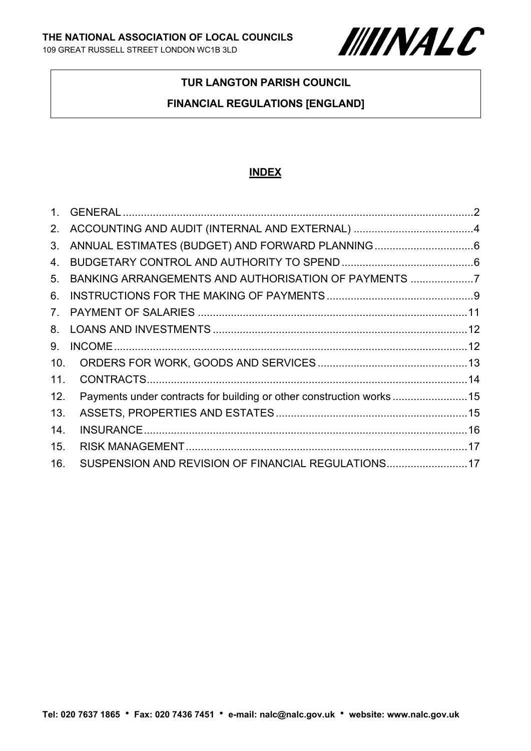109 GREAT RUSSELL STREET LONDON WC1B 3LD



# **TUR LANGTON PARISH COUNCIL FINANCIAL REGULATIONS [ENGLAND]**

### **INDEX**

| 3.              |                                                                     |  |
|-----------------|---------------------------------------------------------------------|--|
| 4.              |                                                                     |  |
| 5.              | BANKING ARRANGEMENTS AND AUTHORISATION OF PAYMENTS                  |  |
| 6.              |                                                                     |  |
|                 |                                                                     |  |
|                 |                                                                     |  |
| 9.              |                                                                     |  |
| 10 <sub>1</sub> |                                                                     |  |
| 11.             |                                                                     |  |
| 12.             | Payments under contracts for building or other construction works15 |  |
| 13.             |                                                                     |  |
| 14.             |                                                                     |  |
| 15.             |                                                                     |  |
| 16.             | SUSPENSION AND REVISION OF FINANCIAL REGULATIONS17                  |  |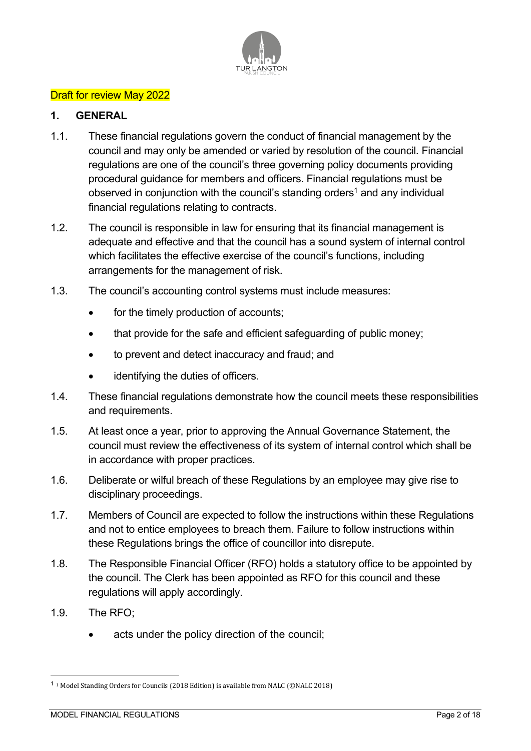

#### Draft for review May 2022

#### <span id="page-1-0"></span>**1. GENERAL**

- 1.1. These financial regulations govern the conduct of financial management by the council and may only be amended or varied by resolution of the council. Financial regulations are one of the council's three governing policy documents providing procedural guidance for members and officers. Financial regulations must be observed in conjunction with the council's standing orders<sup>1</sup> and any individual financial regulations relating to contracts.
- 1.2. The council is responsible in law for ensuring that its financial management is adequate and effective and that the council has a sound system of internal control which facilitates the effective exercise of the council's functions, including arrangements for the management of risk.
- 1.3. The council's accounting control systems must include measures:
	- for the timely production of accounts:
	- that provide for the safe and efficient safeguarding of public money;
	- to prevent and detect inaccuracy and fraud; and
	- identifying the duties of officers.
- 1.4. These financial regulations demonstrate how the council meets these responsibilities and requirements.
- 1.5. At least once a year, prior to approving the Annual Governance Statement, the council must review the effectiveness of its system of internal control which shall be in accordance with proper practices.
- 1.6. Deliberate or wilful breach of these Regulations by an employee may give rise to disciplinary proceedings.
- 1.7. Members of Council are expected to follow the instructions within these Regulations and not to entice employees to breach them. Failure to follow instructions within these Regulations brings the office of councillor into disrepute.
- 1.8. The Responsible Financial Officer (RFO) holds a statutory office to be appointed by the council. The Clerk has been appointed as RFO for this council and these regulations will apply accordingly.
- 1.9. The RFO;
	- acts under the policy direction of the council;

<sup>1</sup> <sup>1</sup> Model Standing Orders for Councils (2018 Edition) is available from NALC (©NALC 2018)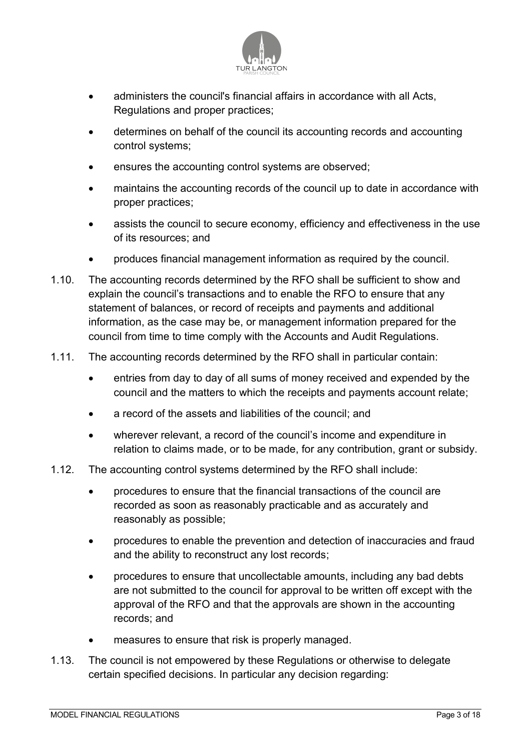

- administers the council's financial affairs in accordance with all Acts, Regulations and proper practices;
- determines on behalf of the council its accounting records and accounting control systems;
- ensures the accounting control systems are observed;
- maintains the accounting records of the council up to date in accordance with proper practices;
- assists the council to secure economy, efficiency and effectiveness in the use of its resources; and
- produces financial management information as required by the council.
- 1.10. The accounting records determined by the RFO shall be sufficient to show and explain the council's transactions and to enable the RFO to ensure that any statement of balances, or record of receipts and payments and additional information, as the case may be, or management information prepared for the council from time to time comply with the Accounts and Audit Regulations.
- 1.11. The accounting records determined by the RFO shall in particular contain:
	- entries from day to day of all sums of money received and expended by the council and the matters to which the receipts and payments account relate;
	- a record of the assets and liabilities of the council; and
	- wherever relevant, a record of the council's income and expenditure in relation to claims made, or to be made, for any contribution, grant or subsidy.
- 1.12. The accounting control systems determined by the RFO shall include:
	- procedures to ensure that the financial transactions of the council are recorded as soon as reasonably practicable and as accurately and reasonably as possible;
	- procedures to enable the prevention and detection of inaccuracies and fraud and the ability to reconstruct any lost records;
	- procedures to ensure that uncollectable amounts, including any bad debts are not submitted to the council for approval to be written off except with the approval of the RFO and that the approvals are shown in the accounting records; and
	- measures to ensure that risk is properly managed.
- 1.13. The council is not empowered by these Regulations or otherwise to delegate certain specified decisions. In particular any decision regarding: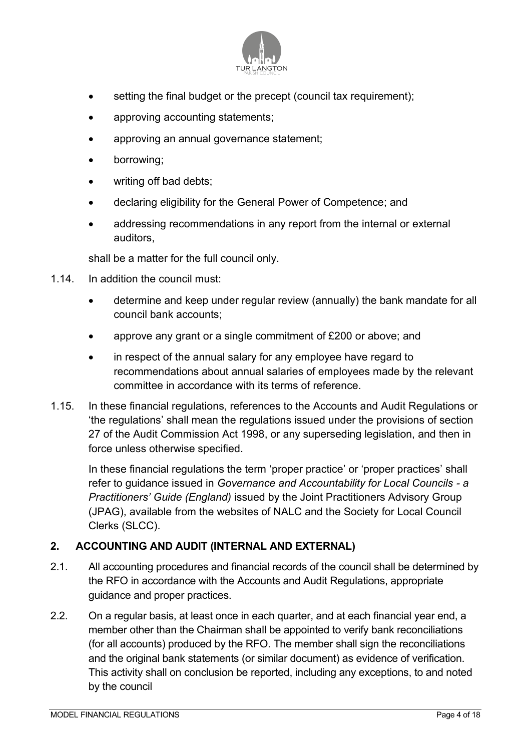

- setting the final budget or the precept (council tax requirement);
- approving accounting statements;
- approving an annual governance statement;
- borrowing;
- writing off bad debts:
- declaring eligibility for the General Power of Competence; and
- addressing recommendations in any report from the internal or external auditors,

shall be a matter for the full council only.

- 1.14. In addition the council must:
	- determine and keep under regular review (annually) the bank mandate for all council bank accounts;
	- approve any grant or a single commitment of £200 or above; and
	- in respect of the annual salary for any employee have regard to recommendations about annual salaries of employees made by the relevant committee in accordance with its terms of reference.
- 1.15. In these financial regulations, references to the Accounts and Audit Regulations or 'the regulations' shall mean the regulations issued under the provisions of section 27 of the Audit Commission Act 1998, or any superseding legislation, and then in force unless otherwise specified.

In these financial regulations the term 'proper practice' or 'proper practices' shall refer to guidance issued in *Governance and Accountability for Local Councils - a Practitioners' Guide (England)* issued by the Joint Practitioners Advisory Group (JPAG), available from the websites of NALC and the Society for Local Council Clerks (SLCC).

#### <span id="page-3-0"></span>**2. ACCOUNTING AND AUDIT (INTERNAL AND EXTERNAL)**

- 2.1. All accounting procedures and financial records of the council shall be determined by the RFO in accordance with the Accounts and Audit Regulations, appropriate guidance and proper practices.
- 2.2. On a regular basis, at least once in each quarter, and at each financial year end, a member other than the Chairman shall be appointed to verify bank reconciliations (for all accounts) produced by the RFO. The member shall sign the reconciliations and the original bank statements (or similar document) as evidence of verification. This activity shall on conclusion be reported, including any exceptions, to and noted by the council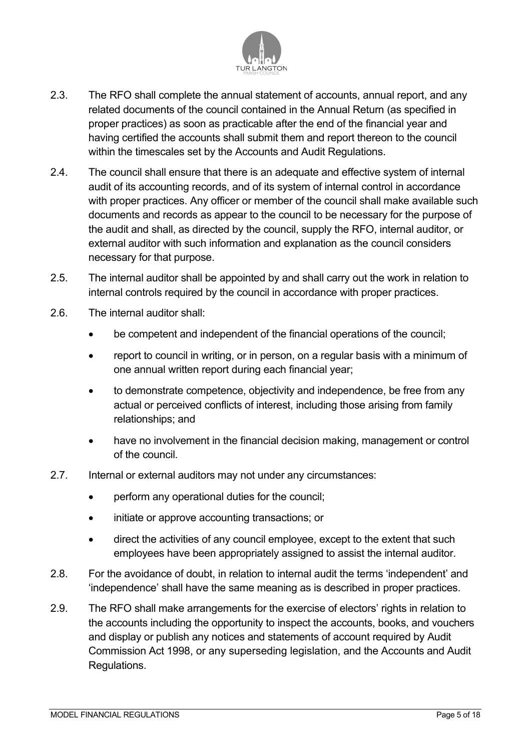

- 2.3. The RFO shall complete the annual statement of accounts, annual report, and any related documents of the council contained in the Annual Return (as specified in proper practices) as soon as practicable after the end of the financial year and having certified the accounts shall submit them and report thereon to the council within the timescales set by the Accounts and Audit Regulations.
- 2.4. The council shall ensure that there is an adequate and effective system of internal audit of its accounting records, and of its system of internal control in accordance with proper practices. Any officer or member of the council shall make available such documents and records as appear to the council to be necessary for the purpose of the audit and shall, as directed by the council, supply the RFO, internal auditor, or external auditor with such information and explanation as the council considers necessary for that purpose.
- 2.5. The internal auditor shall be appointed by and shall carry out the work in relation to internal controls required by the council in accordance with proper practices.
- 2.6. The internal auditor shall:
	- be competent and independent of the financial operations of the council;
	- report to council in writing, or in person, on a regular basis with a minimum of one annual written report during each financial year;
	- to demonstrate competence, objectivity and independence, be free from any actual or perceived conflicts of interest, including those arising from family relationships; and
	- have no involvement in the financial decision making, management or control of the council.
- 2.7. Internal or external auditors may not under any circumstances:
	- perform any operational duties for the council;
	- initiate or approve accounting transactions; or
	- direct the activities of any council employee, except to the extent that such employees have been appropriately assigned to assist the internal auditor.
- 2.8. For the avoidance of doubt, in relation to internal audit the terms 'independent' and 'independence' shall have the same meaning as is described in proper practices.
- 2.9. The RFO shall make arrangements for the exercise of electors' rights in relation to the accounts including the opportunity to inspect the accounts, books, and vouchers and display or publish any notices and statements of account required by Audit Commission Act 1998, or any superseding legislation, and the Accounts and Audit Regulations.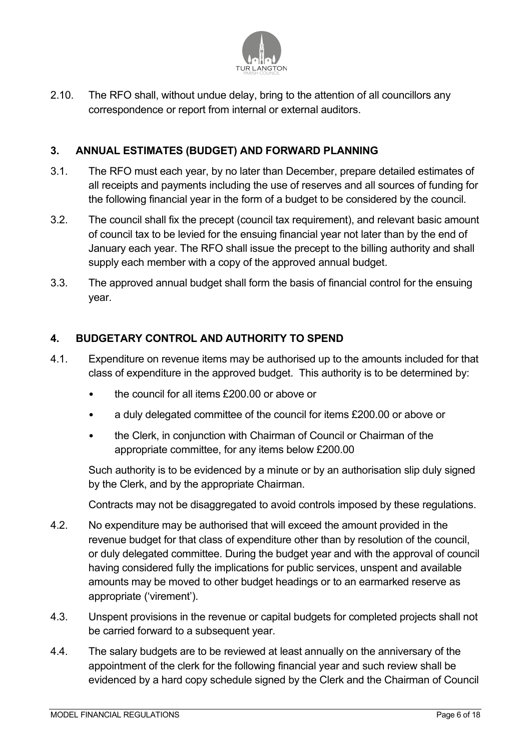

2.10. The RFO shall, without undue delay, bring to the attention of all councillors any correspondence or report from internal or external auditors.

### <span id="page-5-0"></span>**3. ANNUAL ESTIMATES (BUDGET) AND FORWARD PLANNING**

- 3.1. The RFO must each year, by no later than December, prepare detailed estimates of all receipts and payments including the use of reserves and all sources of funding for the following financial year in the form of a budget to be considered by the council.
- 3.2. The council shall fix the precept (council tax requirement), and relevant basic amount of council tax to be levied for the ensuing financial year not later than by the end of January each year. The RFO shall issue the precept to the billing authority and shall supply each member with a copy of the approved annual budget.
- 3.3. The approved annual budget shall form the basis of financial control for the ensuing year.

#### <span id="page-5-1"></span>**4. BUDGETARY CONTROL AND AUTHORITY TO SPEND**

- 4.1. Expenditure on revenue items may be authorised up to the amounts included for that class of expenditure in the approved budget. This authority is to be determined by:
	- the council for all items £200.00 or above or
	- a duly delegated committee of the council for items £200.00 or above or
	- the Clerk, in conjunction with Chairman of Council or Chairman of the appropriate committee, for any items below £200.00

Such authority is to be evidenced by a minute or by an authorisation slip duly signed by the Clerk, and by the appropriate Chairman.

Contracts may not be disaggregated to avoid controls imposed by these regulations.

- 4.2. No expenditure may be authorised that will exceed the amount provided in the revenue budget for that class of expenditure other than by resolution of the council, or duly delegated committee. During the budget year and with the approval of council having considered fully the implications for public services, unspent and available amounts may be moved to other budget headings or to an earmarked reserve as appropriate ('virement').
- 4.3. Unspent provisions in the revenue or capital budgets for completed projects shall not be carried forward to a subsequent year.
- 4.4. The salary budgets are to be reviewed at least annually on the anniversary of the appointment of the clerk for the following financial year and such review shall be evidenced by a hard copy schedule signed by the Clerk and the Chairman of Council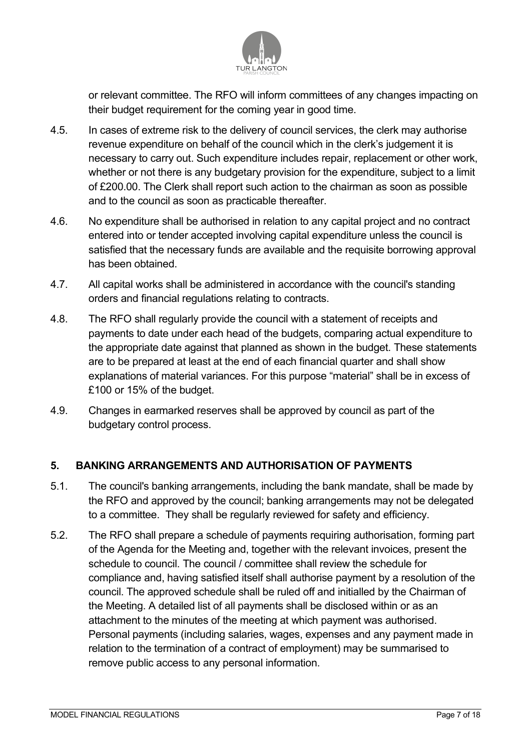

or relevant committee. The RFO will inform committees of any changes impacting on their budget requirement for the coming year in good time.

- 4.5. In cases of extreme risk to the delivery of council services, the clerk may authorise revenue expenditure on behalf of the council which in the clerk's judgement it is necessary to carry out. Such expenditure includes repair, replacement or other work, whether or not there is any budgetary provision for the expenditure, subject to a limit of £200.00. The Clerk shall report such action to the chairman as soon as possible and to the council as soon as practicable thereafter.
- 4.6. No expenditure shall be authorised in relation to any capital project and no contract entered into or tender accepted involving capital expenditure unless the council is satisfied that the necessary funds are available and the requisite borrowing approval has been obtained.
- 4.7. All capital works shall be administered in accordance with the council's standing orders and financial regulations relating to contracts.
- 4.8. The RFO shall regularly provide the council with a statement of receipts and payments to date under each head of the budgets, comparing actual expenditure to the appropriate date against that planned as shown in the budget. These statements are to be prepared at least at the end of each financial quarter and shall show explanations of material variances. For this purpose "material" shall be in excess of £100 or 15% of the budget.
- 4.9. Changes in earmarked reserves shall be approved by council as part of the budgetary control process.

#### <span id="page-6-0"></span>**5. BANKING ARRANGEMENTS AND AUTHORISATION OF PAYMENTS**

- 5.1. The council's banking arrangements, including the bank mandate, shall be made by the RFO and approved by the council; banking arrangements may not be delegated to a committee. They shall be regularly reviewed for safety and efficiency.
- 5.2. The RFO shall prepare a schedule of payments requiring authorisation, forming part of the Agenda for the Meeting and, together with the relevant invoices, present the schedule to council. The council / committee shall review the schedule for compliance and, having satisfied itself shall authorise payment by a resolution of the council. The approved schedule shall be ruled off and initialled by the Chairman of the Meeting. A detailed list of all payments shall be disclosed within or as an attachment to the minutes of the meeting at which payment was authorised. Personal payments (including salaries, wages, expenses and any payment made in relation to the termination of a contract of employment) may be summarised to remove public access to any personal information.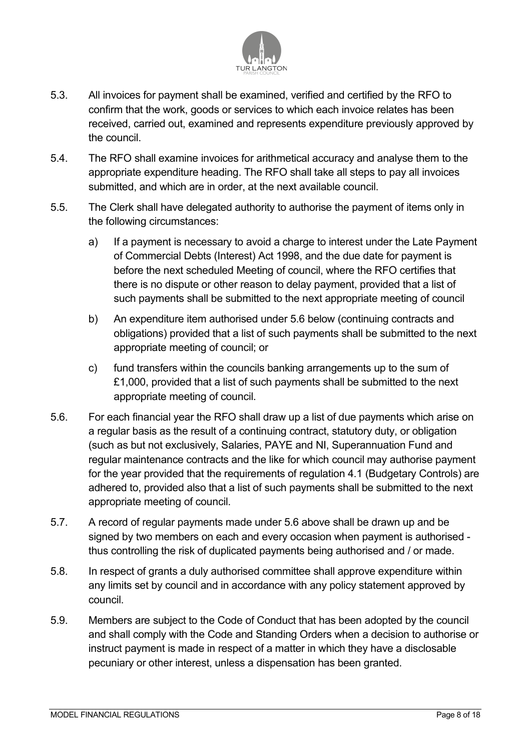

- 5.3. All invoices for payment shall be examined, verified and certified by the RFO to confirm that the work, goods or services to which each invoice relates has been received, carried out, examined and represents expenditure previously approved by the council.
- 5.4. The RFO shall examine invoices for arithmetical accuracy and analyse them to the appropriate expenditure heading. The RFO shall take all steps to pay all invoices submitted, and which are in order, at the next available council.
- 5.5. The Clerk shall have delegated authority to authorise the payment of items only in the following circumstances:
	- a) If a payment is necessary to avoid a charge to interest under the Late Payment of Commercial Debts (Interest) Act 1998, and the due date for payment is before the next scheduled Meeting of council, where the RFO certifies that there is no dispute or other reason to delay payment, provided that a list of such payments shall be submitted to the next appropriate meeting of council
	- b) An expenditure item authorised under 5.6 below (continuing contracts and obligations) provided that a list of such payments shall be submitted to the next appropriate meeting of council; or
	- c) fund transfers within the councils banking arrangements up to the sum of £1,000, provided that a list of such payments shall be submitted to the next appropriate meeting of council.
- 5.6. For each financial year the RFO shall draw up a list of due payments which arise on a regular basis as the result of a continuing contract, statutory duty, or obligation (such as but not exclusively, Salaries, PAYE and NI, Superannuation Fund and regular maintenance contracts and the like for which council may authorise payment for the year provided that the requirements of regulation 4.1 (Budgetary Controls) are adhered to, provided also that a list of such payments shall be submitted to the next appropriate meeting of council.
- 5.7. A record of regular payments made under 5.6 above shall be drawn up and be signed by two members on each and every occasion when payment is authorised thus controlling the risk of duplicated payments being authorised and / or made.
- 5.8. In respect of grants a duly authorised committee shall approve expenditure within any limits set by council and in accordance with any policy statement approved by council.
- 5.9. Members are subject to the Code of Conduct that has been adopted by the council and shall comply with the Code and Standing Orders when a decision to authorise or instruct payment is made in respect of a matter in which they have a disclosable pecuniary or other interest, unless a dispensation has been granted.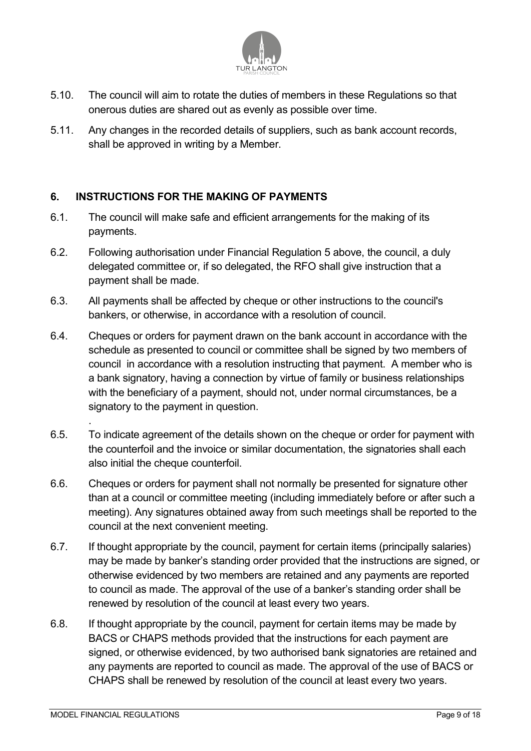

- 5.10. The council will aim to rotate the duties of members in these Regulations so that onerous duties are shared out as evenly as possible over time.
- 5.11. Any changes in the recorded details of suppliers, such as bank account records, shall be approved in writing by a Member.

#### <span id="page-8-0"></span>**6. INSTRUCTIONS FOR THE MAKING OF PAYMENTS**

- 6.1. The council will make safe and efficient arrangements for the making of its payments.
- 6.2. Following authorisation under Financial Regulation 5 above, the council, a duly delegated committee or, if so delegated, the RFO shall give instruction that a payment shall be made.
- 6.3. All payments shall be affected by cheque or other instructions to the council's bankers, or otherwise, in accordance with a resolution of council.
- 6.4. Cheques or orders for payment drawn on the bank account in accordance with the schedule as presented to council or committee shall be signed by two members of council in accordance with a resolution instructing that payment. A member who is a bank signatory, having a connection by virtue of family or business relationships with the beneficiary of a payment, should not, under normal circumstances, be a signatory to the payment in question.
- 6.5. To indicate agreement of the details shown on the cheque or order for payment with the counterfoil and the invoice or similar documentation, the signatories shall each also initial the cheque counterfoil.
- 6.6. Cheques or orders for payment shall not normally be presented for signature other than at a council or committee meeting (including immediately before or after such a meeting). Any signatures obtained away from such meetings shall be reported to the council at the next convenient meeting.
- 6.7. If thought appropriate by the council, payment for certain items (principally salaries) may be made by banker's standing order provided that the instructions are signed, or otherwise evidenced by two members are retained and any payments are reported to council as made. The approval of the use of a banker's standing order shall be renewed by resolution of the council at least every two years.
- 6.8. If thought appropriate by the council, payment for certain items may be made by BACS or CHAPS methods provided that the instructions for each payment are signed, or otherwise evidenced, by two authorised bank signatories are retained and any payments are reported to council as made. The approval of the use of BACS or CHAPS shall be renewed by resolution of the council at least every two years.

.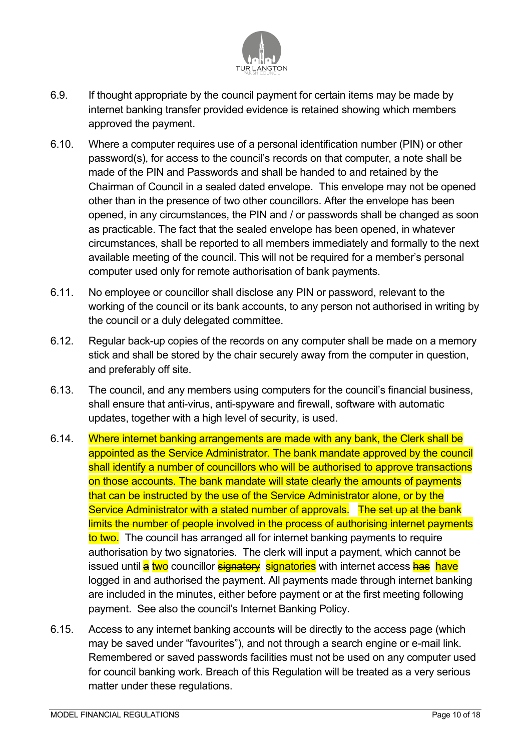

- 6.9. If thought appropriate by the council payment for certain items may be made by internet banking transfer provided evidence is retained showing which members approved the payment.
- 6.10. Where a computer requires use of a personal identification number (PIN) or other password(s), for access to the council's records on that computer, a note shall be made of the PIN and Passwords and shall be handed to and retained by the Chairman of Council in a sealed dated envelope. This envelope may not be opened other than in the presence of two other councillors. After the envelope has been opened, in any circumstances, the PIN and / or passwords shall be changed as soon as practicable. The fact that the sealed envelope has been opened, in whatever circumstances, shall be reported to all members immediately and formally to the next available meeting of the council. This will not be required for a member's personal computer used only for remote authorisation of bank payments.
- 6.11. No employee or councillor shall disclose any PIN or password, relevant to the working of the council or its bank accounts, to any person not authorised in writing by the council or a duly delegated committee.
- 6.12. Regular back-up copies of the records on any computer shall be made on a memory stick and shall be stored by the chair securely away from the computer in question, and preferably off site.
- 6.13. The council, and any members using computers for the council's financial business, shall ensure that anti-virus, anti-spyware and firewall, software with automatic updates, together with a high level of security, is used.
- 6.14. Where internet banking arrangements are made with any bank, the Clerk shall be appointed as the Service Administrator. The bank mandate approved by the council shall identify a number of councillors who will be authorised to approve transactions on those accounts. The bank mandate will state clearly the amounts of payments that can be instructed by the use of the Service Administrator alone, or by the Service Administrator with a stated number of approvals. The set up at the bank limits the number of people involved in the process of authorising internet payments to two. The council has arranged all for internet banking payments to require authorisation by two signatories. The clerk will input a payment, which cannot be issued until a two councillor signatory signatories with internet access has have logged in and authorised the payment. All payments made through internet banking are included in the minutes, either before payment or at the first meeting following payment. See also the council's Internet Banking Policy.
- 6.15. Access to any internet banking accounts will be directly to the access page (which may be saved under "favourites"), and not through a search engine or e-mail link. Remembered or saved passwords facilities must not be used on any computer used for council banking work. Breach of this Regulation will be treated as a very serious matter under these regulations.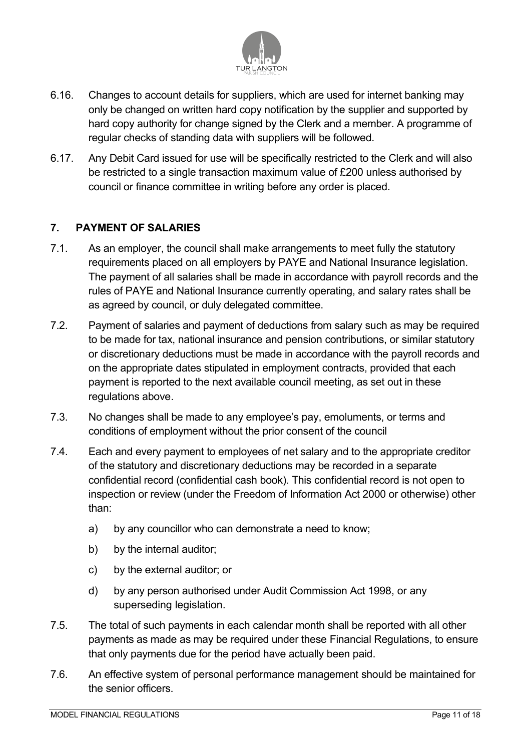

- 6.16. Changes to account details for suppliers, which are used for internet banking may only be changed on written hard copy notification by the supplier and supported by hard copy authority for change signed by the Clerk and a member. A programme of regular checks of standing data with suppliers will be followed.
- 6.17. Any Debit Card issued for use will be specifically restricted to the Clerk and will also be restricted to a single transaction maximum value of £200 unless authorised by council or finance committee in writing before any order is placed.

#### <span id="page-10-0"></span>**7. PAYMENT OF SALARIES**

- 7.1. As an employer, the council shall make arrangements to meet fully the statutory requirements placed on all employers by PAYE and National Insurance legislation. The payment of all salaries shall be made in accordance with payroll records and the rules of PAYE and National Insurance currently operating, and salary rates shall be as agreed by council, or duly delegated committee.
- 7.2. Payment of salaries and payment of deductions from salary such as may be required to be made for tax, national insurance and pension contributions, or similar statutory or discretionary deductions must be made in accordance with the payroll records and on the appropriate dates stipulated in employment contracts, provided that each payment is reported to the next available council meeting, as set out in these regulations above.
- 7.3. No changes shall be made to any employee's pay, emoluments, or terms and conditions of employment without the prior consent of the council
- 7.4. Each and every payment to employees of net salary and to the appropriate creditor of the statutory and discretionary deductions may be recorded in a separate confidential record (confidential cash book). This confidential record is not open to inspection or review (under the Freedom of Information Act 2000 or otherwise) other than:
	- a) by any councillor who can demonstrate a need to know;
	- b) by the internal auditor;
	- c) by the external auditor; or
	- d) by any person authorised under Audit Commission Act 1998, or any superseding legislation.
- 7.5. The total of such payments in each calendar month shall be reported with all other payments as made as may be required under these Financial Regulations, to ensure that only payments due for the period have actually been paid.
- 7.6. An effective system of personal performance management should be maintained for the senior officers.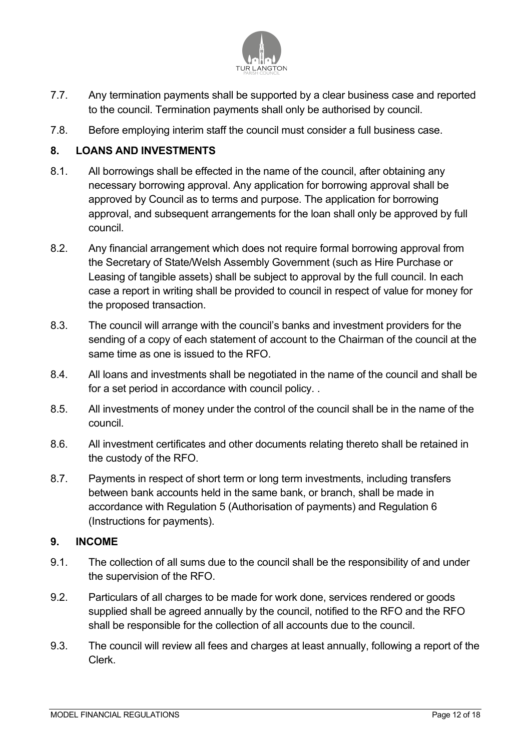

- 7.7. Any termination payments shall be supported by a clear business case and reported to the council. Termination payments shall only be authorised by council.
- 7.8. Before employing interim staff the council must consider a full business case.

# <span id="page-11-0"></span>**8. LOANS AND INVESTMENTS**

- 8.1. All borrowings shall be effected in the name of the council, after obtaining any necessary borrowing approval. Any application for borrowing approval shall be approved by Council as to terms and purpose. The application for borrowing approval, and subsequent arrangements for the loan shall only be approved by full council.
- 8.2. Any financial arrangement which does not require formal borrowing approval from the Secretary of State/Welsh Assembly Government (such as Hire Purchase or Leasing of tangible assets) shall be subject to approval by the full council. In each case a report in writing shall be provided to council in respect of value for money for the proposed transaction.
- 8.3. The council will arrange with the council's banks and investment providers for the sending of a copy of each statement of account to the Chairman of the council at the same time as one is issued to the RFO.
- 8.4. All loans and investments shall be negotiated in the name of the council and shall be for a set period in accordance with council policy. .
- 8.5. All investments of money under the control of the council shall be in the name of the council.
- 8.6. All investment certificates and other documents relating thereto shall be retained in the custody of the RFO.
- 8.7. Payments in respect of short term or long term investments, including transfers between bank accounts held in the same bank, or branch, shall be made in accordance with Regulation 5 (Authorisation of payments) and Regulation 6 (Instructions for payments).

#### <span id="page-11-1"></span>**9. INCOME**

- 9.1. The collection of all sums due to the council shall be the responsibility of and under the supervision of the RFO.
- 9.2. Particulars of all charges to be made for work done, services rendered or goods supplied shall be agreed annually by the council, notified to the RFO and the RFO shall be responsible for the collection of all accounts due to the council.
- 9.3. The council will review all fees and charges at least annually, following a report of the Clerk.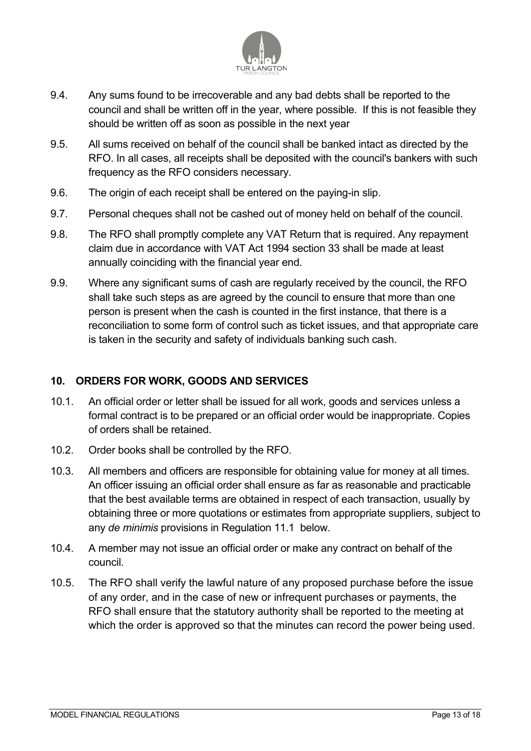

- 9.4. Any sums found to be irrecoverable and any bad debts shall be reported to the council and shall be written off in the year, where possible. If this is not feasible they should be written off as soon as possible in the next year
- 9.5. All sums received on behalf of the council shall be banked intact as directed by the RFO. In all cases, all receipts shall be deposited with the council's bankers with such frequency as the RFO considers necessary.
- 9.6. The origin of each receipt shall be entered on the paying-in slip.
- 9.7. Personal cheques shall not be cashed out of money held on behalf of the council.
- 9.8. The RFO shall promptly complete any VAT Return that is required. Any repayment claim due in accordance with VAT Act 1994 section 33 shall be made at least annually coinciding with the financial year end.
- 9.9. Where any significant sums of cash are regularly received by the council, the RFO shall take such steps as are agreed by the council to ensure that more than one person is present when the cash is counted in the first instance, that there is a reconciliation to some form of control such as ticket issues, and that appropriate care is taken in the security and safety of individuals banking such cash.

### <span id="page-12-0"></span>**10. ORDERS FOR WORK, GOODS AND SERVICES**

- 10.1. An official order or letter shall be issued for all work, goods and services unless a formal contract is to be prepared or an official order would be inappropriate. Copies of orders shall be retained.
- 10.2. Order books shall be controlled by the RFO.
- 10.3. All members and officers are responsible for obtaining value for money at all times. An officer issuing an official order shall ensure as far as reasonable and practicable that the best available terms are obtained in respect of each transaction, usually by obtaining three or more quotations or estimates from appropriate suppliers, subject to any *de minimis* provisions in Regulation 11.1 below.
- 10.4. A member may not issue an official order or make any contract on behalf of the council.
- 10.5. The RFO shall verify the lawful nature of any proposed purchase before the issue of any order, and in the case of new or infrequent purchases or payments, the RFO shall ensure that the statutory authority shall be reported to the meeting at which the order is approved so that the minutes can record the power being used.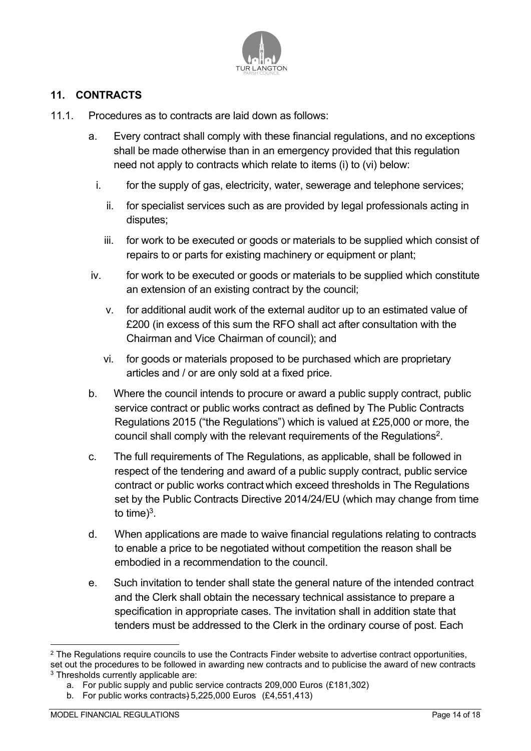

#### <span id="page-13-0"></span>**11. CONTRACTS**

- 11.1. Procedures as to contracts are laid down as follows:
	- a. Every contract shall comply with these financial regulations, and no exceptions shall be made otherwise than in an emergency provided that this regulation need not apply to contracts which relate to items (i) to (vi) below:
		- i. for the supply of gas, electricity, water, sewerage and telephone services;
			- ii. for specialist services such as are provided by legal professionals acting in disputes;
			- iii. for work to be executed or goods or materials to be supplied which consist of repairs to or parts for existing machinery or equipment or plant;
	- iv. for work to be executed or goods or materials to be supplied which constitute an extension of an existing contract by the council;
		- v. for additional audit work of the external auditor up to an estimated value of £200 (in excess of this sum the RFO shall act after consultation with the Chairman and Vice Chairman of council); and
		- vi. for goods or materials proposed to be purchased which are proprietary articles and / or are only sold at a fixed price.
	- b. Where the council intends to procure or award a public supply contract, public service contract or public works contract as defined by The Public Contracts Regulations 2015 ("the Regulations") which is valued at £25,000 or more, the council shall comply with the relevant requirements of the Regulations<sup>2</sup>.
	- c. The full requirements of The Regulations, as applicable, shall be followed in respect of the tendering and award of a public supply contract, public service contract or public works contract which exceed thresholds in The Regulations set by the Public Contracts Directive 2014/24/EU (which may change from time to time) $3$ .
	- d. When applications are made to waive financial regulations relating to contracts to enable a price to be negotiated without competition the reason shall be embodied in a recommendation to the council.
	- e. Such invitation to tender shall state the general nature of the intended contract and the Clerk shall obtain the necessary technical assistance to prepare a specification in appropriate cases. The invitation shall in addition state that tenders must be addressed to the Clerk in the ordinary course of post. Each

<sup>&</sup>lt;sup>2</sup> The Regulations require councils to use the Contracts Finder website to advertise contract opportunities, set out the procedures to be followed in awarding new contracts and to publicise the award of new contracts <sup>3</sup> Thresholds currently applicable are:

a. For public supply and public service contracts 209,000 Euros (£181,302)

b. For public works contracts) 5,225,000 Euros (£4,551,413)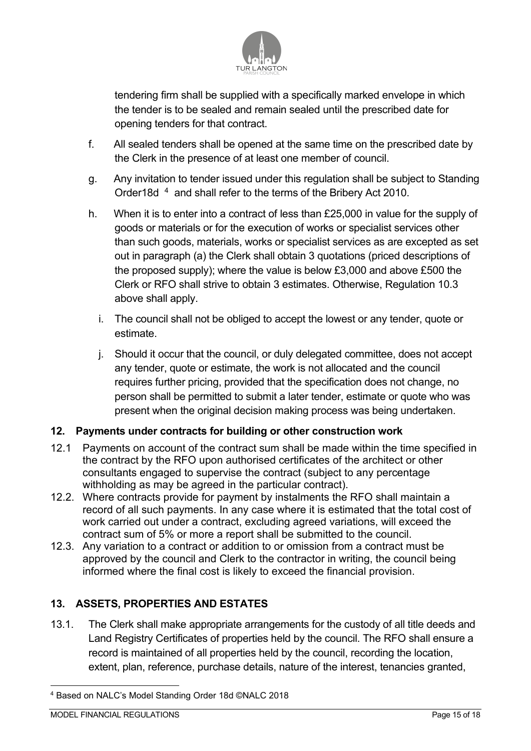

tendering firm shall be supplied with a specifically marked envelope in which the tender is to be sealed and remain sealed until the prescribed date for opening tenders for that contract.

- f. All sealed tenders shall be opened at the same time on the prescribed date by the Clerk in the presence of at least one member of council.
- g. Any invitation to tender issued under this regulation shall be subject to Standing Order18d <sup>4</sup> and shall refer to the terms of the Bribery Act 2010.
- h. When it is to enter into a contract of less than £25,000 in value for the supply of goods or materials or for the execution of works or specialist services other than such goods, materials, works or specialist services as are excepted as set out in paragraph (a) the Clerk shall obtain 3 quotations (priced descriptions of the proposed supply); where the value is below £3,000 and above £500 the Clerk or RFO shall strive to obtain 3 estimates. Otherwise, Regulation 10.3 above shall apply.
	- i. The council shall not be obliged to accept the lowest or any tender, quote or estimate.
	- j. Should it occur that the council, or duly delegated committee, does not accept any tender, quote or estimate, the work is not allocated and the council requires further pricing, provided that the specification does not change, no person shall be permitted to submit a later tender, estimate or quote who was present when the original decision making process was being undertaken.

# <span id="page-14-0"></span>**12. Payments under contracts for building or other construction work**

- 12.1 Payments on account of the contract sum shall be made within the time specified in the contract by the RFO upon authorised certificates of the architect or other consultants engaged to supervise the contract (subject to any percentage withholding as may be agreed in the particular contract).
- 12.2. Where contracts provide for payment by instalments the RFO shall maintain a record of all such payments. In any case where it is estimated that the total cost of work carried out under a contract, excluding agreed variations, will exceed the contract sum of 5% or more a report shall be submitted to the council.
- 12.3. Any variation to a contract or addition to or omission from a contract must be approved by the council and Clerk to the contractor in writing, the council being informed where the final cost is likely to exceed the financial provision.

# <span id="page-14-1"></span>**13. ASSETS, PROPERTIES AND ESTATES**

13.1. The Clerk shall make appropriate arrangements for the custody of all title deeds and Land Registry Certificates of properties held by the council. The RFO shall ensure a record is maintained of all properties held by the council, recording the location, extent, plan, reference, purchase details, nature of the interest, tenancies granted,

<sup>4</sup> Based on NALC's Model Standing Order 18d ©NALC 2018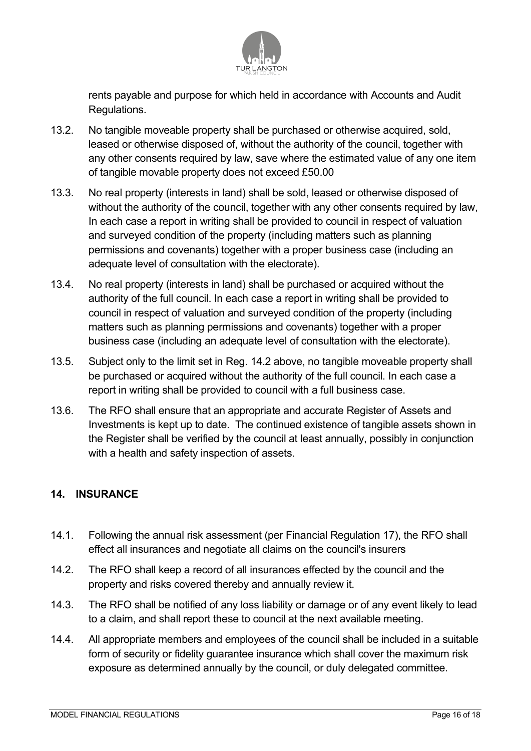

rents payable and purpose for which held in accordance with Accounts and Audit Regulations.

- 13.2. No tangible moveable property shall be purchased or otherwise acquired, sold, leased or otherwise disposed of, without the authority of the council, together with any other consents required by law, save where the estimated value of any one item of tangible movable property does not exceed £50.00
- 13.3. No real property (interests in land) shall be sold, leased or otherwise disposed of without the authority of the council, together with any other consents required by law, In each case a report in writing shall be provided to council in respect of valuation and surveyed condition of the property (including matters such as planning permissions and covenants) together with a proper business case (including an adequate level of consultation with the electorate).
- 13.4. No real property (interests in land) shall be purchased or acquired without the authority of the full council. In each case a report in writing shall be provided to council in respect of valuation and surveyed condition of the property (including matters such as planning permissions and covenants) together with a proper business case (including an adequate level of consultation with the electorate).
- 13.5. Subject only to the limit set in Reg. 14.2 above, no tangible moveable property shall be purchased or acquired without the authority of the full council. In each case a report in writing shall be provided to council with a full business case.
- 13.6. The RFO shall ensure that an appropriate and accurate Register of Assets and Investments is kept up to date. The continued existence of tangible assets shown in the Register shall be verified by the council at least annually, possibly in conjunction with a health and safety inspection of assets.

# <span id="page-15-0"></span>**14. INSURANCE**

- 14.1. Following the annual risk assessment (per Financial Regulation 17), the RFO shall effect all insurances and negotiate all claims on the council's insurers
- 14.2. The RFO shall keep a record of all insurances effected by the council and the property and risks covered thereby and annually review it.
- 14.3. The RFO shall be notified of any loss liability or damage or of any event likely to lead to a claim, and shall report these to council at the next available meeting.
- 14.4. All appropriate members and employees of the council shall be included in a suitable form of security or fidelity guarantee insurance which shall cover the maximum risk exposure as determined annually by the council, or duly delegated committee.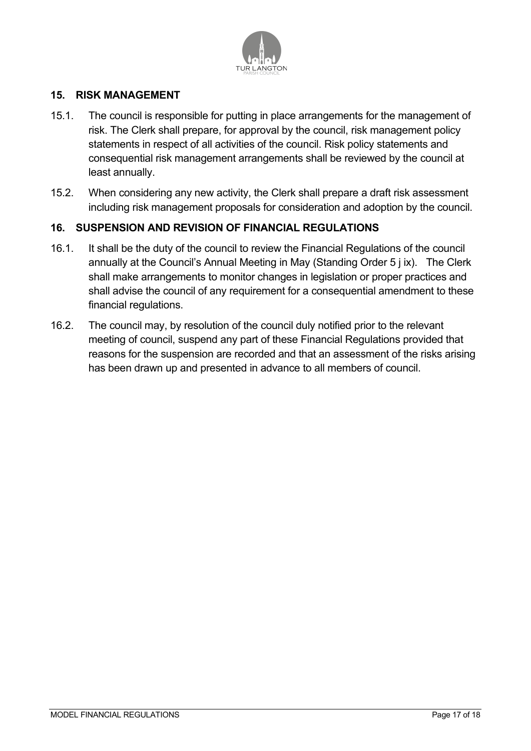

#### <span id="page-16-0"></span>**15. RISK MANAGEMENT**

- 15.1. The council is responsible for putting in place arrangements for the management of risk. The Clerk shall prepare, for approval by the council, risk management policy statements in respect of all activities of the council. Risk policy statements and consequential risk management arrangements shall be reviewed by the council at least annually.
- 15.2. When considering any new activity, the Clerk shall prepare a draft risk assessment including risk management proposals for consideration and adoption by the council.

#### <span id="page-16-1"></span>**16. SUSPENSION AND REVISION OF FINANCIAL REGULATIONS**

- 16.1. It shall be the duty of the council to review the Financial Regulations of the council annually at the Council's Annual Meeting in May (Standing Order 5 j ix). The Clerk shall make arrangements to monitor changes in legislation or proper practices and shall advise the council of any requirement for a consequential amendment to these financial regulations.
- 16.2. The council may, by resolution of the council duly notified prior to the relevant meeting of council, suspend any part of these Financial Regulations provided that reasons for the suspension are recorded and that an assessment of the risks arising has been drawn up and presented in advance to all members of council.